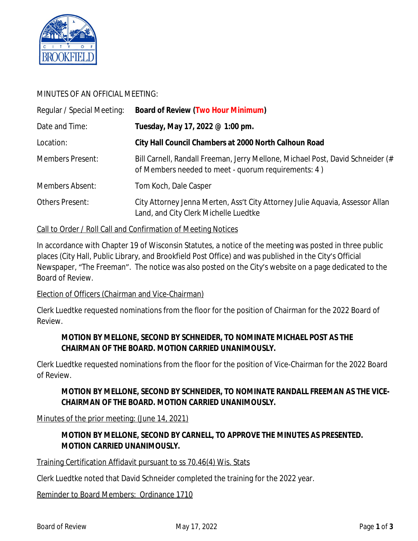

## MINUTES OF AN OFFICIAL MEETING:

| Regular / Special Meeting: | <b>Board of Review (Two Hour Minimum)</b>                                                                                             |  |  |
|----------------------------|---------------------------------------------------------------------------------------------------------------------------------------|--|--|
| Date and Time:             | Tuesday, May 17, 2022 @ 1:00 pm.                                                                                                      |  |  |
| Location:                  | City Hall Council Chambers at 2000 North Calhoun Road                                                                                 |  |  |
| <b>Members Present:</b>    | Bill Carnell, Randall Freeman, Jerry Mellone, Michael Post, David Schneider (#<br>of Members needed to meet - quorum requirements: 4) |  |  |
| Members Absent:            | Tom Koch, Dale Casper                                                                                                                 |  |  |
| Others Present:            | City Attorney Jenna Merten, Ass't City Attorney Julie Aquavia, Assessor Allan<br>Land, and City Clerk Michelle Luedtke                |  |  |

#### Call to Order / Roll Call and Confirmation of Meeting Notices

In accordance with Chapter 19 of Wisconsin Statutes, a notice of the meeting was posted in three public places (City Hall, Public Library, and Brookfield Post Office) and was published in the City's Official Newspaper, "The Freeman". The notice was also posted on the City's website on a page dedicated to the Board of Review.

#### Election of Officers (Chairman and Vice-Chairman)

Clerk Luedtke requested nominations from the floor for the position of Chairman for the 2022 Board of Review.

# **MOTION BY MELLONE, SECOND BY SCHNEIDER, TO NOMINATE MICHAEL POST AS THE CHAIRMAN OF THE BOARD. MOTION CARRIED UNANIMOUSLY.**

Clerk Luedtke requested nominations from the floor for the position of Vice-Chairman for the 2022 Board of Review.

## **MOTION BY MELLONE, SECOND BY SCHNEIDER, TO NOMINATE RANDALL FREEMAN AS THE VICE-CHAIRMAN OF THE BOARD. MOTION CARRIED UNANIMOUSLY.**

Minutes of the prior meeting: (June 14, 2021)

## **MOTION BY MELLONE, SECOND BY CARNELL, TO APPROVE THE MINUTES AS PRESENTED. MOTION CARRIED UNANIMOUSLY.**

Training Certification Affidavit pursuant to ss 70.46(4) Wis. Stats

Clerk Luedtke noted that David Schneider completed the training for the 2022 year.

Reminder to Board Members: Ordinance 1710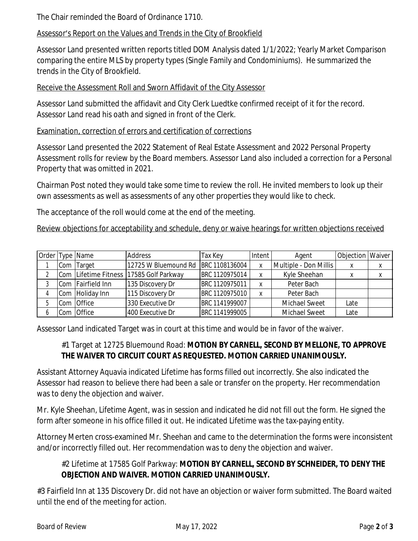The Chair reminded the Board of Ordinance 1710.

## Assessor's Report on the Values and Trends in the City of Brookfield

Assessor Land presented written reports titled DOM Analysis dated 1/1/2022; Yearly Market Comparison comparing the entire MLS by property types (Single Family and Condominiums). He summarized the trends in the City of Brookfield.

## Receive the Assessment Roll and Sworn Affidavit of the City Assessor

Assessor Land submitted the affidavit and City Clerk Luedtke confirmed receipt of it for the record. Assessor Land read his oath and signed in front of the Clerk.

### Examination, correction of errors and certification of corrections

Assessor Land presented the 2022 Statement of Real Estate Assessment and 2022 Personal Property Assessment rolls for review by the Board members. Assessor Land also included a correction for a Personal Property that was omitted in 2021.

Chairman Post noted they would take some time to review the roll. He invited members to look up their own assessments as well as assessments of any other properties they would like to check.

The acceptance of the roll would come at the end of the meeting.

Review objections for acceptability and schedule, deny or waive hearings for written objections received

|     | Order Type Name   | Address                                 | Tax Key        | l Intent I | Agent                 | Objection   Waiver |  |
|-----|-------------------|-----------------------------------------|----------------|------------|-----------------------|--------------------|--|
| Com | Target            | 12725 W Bluemound Rd BRC 1108136004     |                |            | Multiple - Don Millis |                    |  |
|     |                   | Com Lifetime Fitness 17585 Golf Parkway | BRC 1120975014 |            | Kyle Sheehan          |                    |  |
|     | Com Fairfield Inn | 135 Discovery Dr                        | BRC 1120975011 |            | Peter Bach            |                    |  |
|     | Com Holiday Inn   | 115 Discovery Dr                        | BRC 1120975010 |            | Peter Bach            |                    |  |
|     | Com Office        | 330 Executive Dr                        | BRC 1141999007 |            | <b>Michael Sweet</b>  | Late               |  |
|     | Com Office        | 400 Executive Dr                        | BRC 1141999005 |            | <b>Michael Sweet</b>  | Late               |  |

Assessor Land indicated Target was in court at this time and would be in favor of the waiver.

## #1 Target at 12725 Bluemound Road: **MOTION BY CARNELL, SECOND BY MELLONE, TO APPROVE THE WAIVER TO CIRCUIT COURT AS REQUESTED. MOTION CARRIED UNANIMOUSLY.**

Assistant Attorney Aquavia indicated Lifetime has forms filled out incorrectly. She also indicated the Assessor had reason to believe there had been a sale or transfer on the property. Her recommendation was to deny the objection and waiver.

Mr. Kyle Sheehan, Lifetime Agent, was in session and indicated he did not fill out the form. He signed the form after someone in his office filled it out. He indicated Lifetime was the tax-paying entity.

Attorney Merten cross-examined Mr. Sheehan and came to the determination the forms were inconsistent and/or incorrectly filled out. Her recommendation was to deny the objection and waiver.

# #2 Lifetime at 17585 Golf Parkway: **MOTION BY CARNELL, SECOND BY SCHNEIDER, TO DENY THE OBJECTION AND WAIVER. MOTION CARRIED UNANIMOUSLY.**

#3 Fairfield Inn at 135 Discovery Dr. did not have an objection or waiver form submitted. The Board waited until the end of the meeting for action.